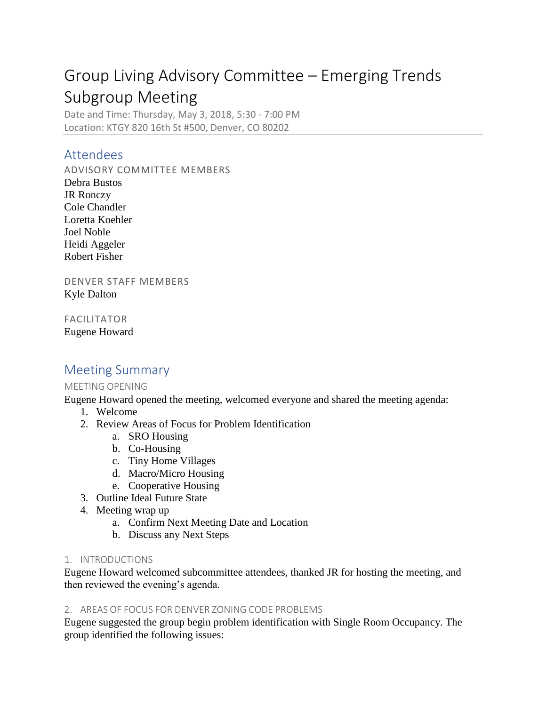# Group Living Advisory Committee – Emerging Trends Subgroup Meeting

Date and Time: Thursday, May 3, 2018, 5:30 - 7:00 PM Location: KTGY 820 16th St #500, Denver, CO 80202

### Attendees

ADVISORY COMMITTEE MEMBERS

Debra Bustos JR Ronczy Cole Chandler Loretta Koehler Joel Noble Heidi Aggeler Robert Fisher

DENVER STAFF MEMBERS Kyle Dalton

FACILITATOR Eugene Howard

## Meeting Summary

#### MEETING OPENING

Eugene Howard opened the meeting, welcomed everyone and shared the meeting agenda:

- 1. Welcome
- 2. Review Areas of Focus for Problem Identification
	- a. SRO Housing
	- b. Co-Housing
	- c. Tiny Home Villages
	- d. Macro/Micro Housing
	- e. Cooperative Housing
- 3. Outline Ideal Future State
- 4. Meeting wrap up
	- a. Confirm Next Meeting Date and Location
	- b. Discuss any Next Steps

#### 1. INTRODUCTIONS

Eugene Howard welcomed subcommittee attendees, thanked JR for hosting the meeting, and then reviewed the evening's agenda.

#### 2. AREAS OF FOCUS FOR DENVER ZONING CODE PROBLEMS

Eugene suggested the group begin problem identification with Single Room Occupancy. The group identified the following issues: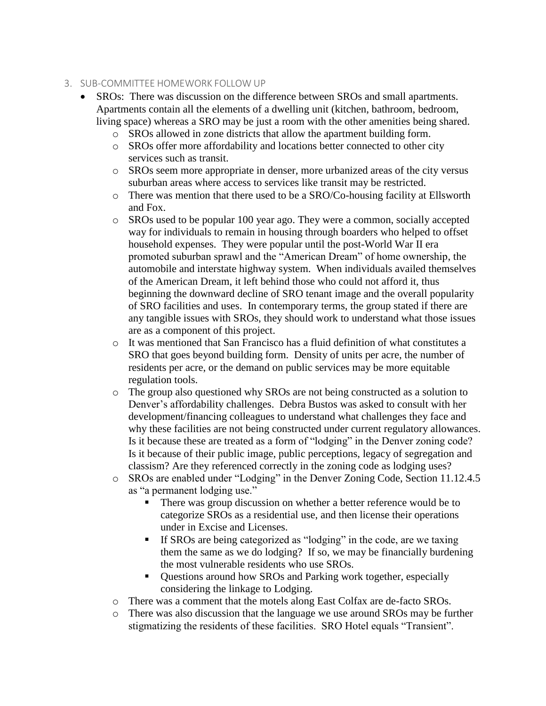#### 3. SUB-COMMITTEE HOMEWORK FOLLOW UP

- SROs: There was discussion on the difference between SROs and small apartments. Apartments contain all the elements of a dwelling unit (kitchen, bathroom, bedroom, living space) whereas a SRO may be just a room with the other amenities being shared.
	- o SROs allowed in zone districts that allow the apartment building form.
	- o SROs offer more affordability and locations better connected to other city services such as transit.
	- o SROs seem more appropriate in denser, more urbanized areas of the city versus suburban areas where access to services like transit may be restricted.
	- $\circ$  There was mention that there used to be a SRO/Co-housing facility at Ellsworth and Fox.
	- o SROs used to be popular 100 year ago. They were a common, socially accepted way for individuals to remain in housing through boarders who helped to offset household expenses. They were popular until the post-World War II era promoted suburban sprawl and the "American Dream" of home ownership, the automobile and interstate highway system. When individuals availed themselves of the American Dream, it left behind those who could not afford it, thus beginning the downward decline of SRO tenant image and the overall popularity of SRO facilities and uses. In contemporary terms, the group stated if there are any tangible issues with SROs, they should work to understand what those issues are as a component of this project.
	- o It was mentioned that San Francisco has a fluid definition of what constitutes a SRO that goes beyond building form. Density of units per acre, the number of residents per acre, or the demand on public services may be more equitable regulation tools.
	- o The group also questioned why SROs are not being constructed as a solution to Denver's affordability challenges. Debra Bustos was asked to consult with her development/financing colleagues to understand what challenges they face and why these facilities are not being constructed under current regulatory allowances. Is it because these are treated as a form of "lodging" in the Denver zoning code? Is it because of their public image, public perceptions, legacy of segregation and classism? Are they referenced correctly in the zoning code as lodging uses?
	- o SROs are enabled under "Lodging" in the Denver Zoning Code, Section 11.12.4.5 as "a permanent lodging use."
		- There was group discussion on whether a better reference would be to categorize SROs as a residential use, and then license their operations under in Excise and Licenses.
		- If SROs are being categorized as "lodging" in the code, are we taxing them the same as we do lodging? If so, we may be financially burdening the most vulnerable residents who use SROs.
		- Questions around how SROs and Parking work together, especially considering the linkage to Lodging.
	- o There was a comment that the motels along East Colfax are de-facto SROs.
	- o There was also discussion that the language we use around SROs may be further stigmatizing the residents of these facilities. SRO Hotel equals "Transient".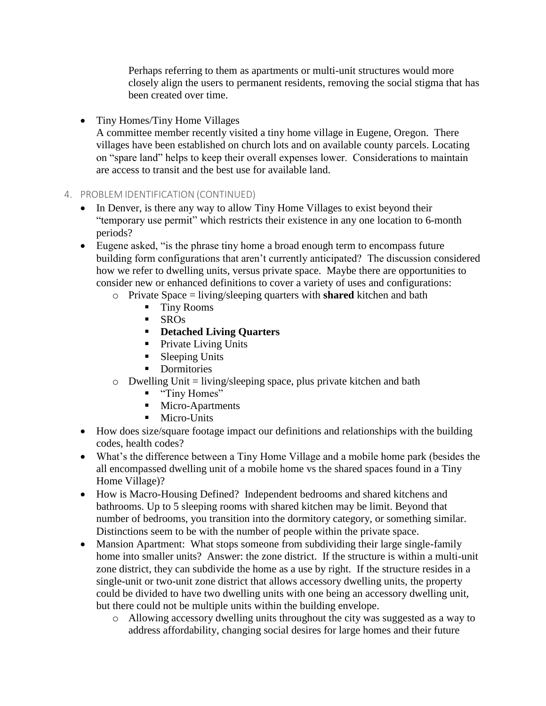Perhaps referring to them as apartments or multi-unit structures would more closely align the users to permanent residents, removing the social stigma that has been created over time.

• Tiny Homes/Tiny Home Villages

A committee member recently visited a tiny home village in Eugene, Oregon. There villages have been established on church lots and on available county parcels. Locating on "spare land" helps to keep their overall expenses lower. Considerations to maintain are access to transit and the best use for available land.

#### 4. PROBLEM IDENTIFICATION (CONTINUED)

- In Denver, is there any way to allow Tiny Home Villages to exist beyond their "temporary use permit" which restricts their existence in any one location to 6-month periods?
- Eugene asked, "is the phrase tiny home a broad enough term to encompass future building form configurations that aren't currently anticipated? The discussion considered how we refer to dwelling units, versus private space. Maybe there are opportunities to consider new or enhanced definitions to cover a variety of uses and configurations:
	- o Private Space = living/sleeping quarters with **shared** kitchen and bath
		- Tiny Rooms
		- $\blacksquare$  SROs
		- **Detached Living Quarters**
		- Private Living Units
		- Sleeping Units
		- **•** Dormitories
	- $\circ$  Dwelling Unit = living/sleeping space, plus private kitchen and bath
		- "Tiny Homes"
		- Micro-Apartments
		- **■** Micro-Units
- How does size/square footage impact our definitions and relationships with the building codes, health codes?
- What's the difference between a Tiny Home Village and a mobile home park (besides the all encompassed dwelling unit of a mobile home vs the shared spaces found in a Tiny Home Village)?
- How is Macro-Housing Defined? Independent bedrooms and shared kitchens and bathrooms. Up to 5 sleeping rooms with shared kitchen may be limit. Beyond that number of bedrooms, you transition into the dormitory category, or something similar. Distinctions seem to be with the number of people within the private space.
- Mansion Apartment: What stops someone from subdividing their large single-family home into smaller units? Answer: the zone district. If the structure is within a multi-unit zone district, they can subdivide the home as a use by right. If the structure resides in a single-unit or two-unit zone district that allows accessory dwelling units, the property could be divided to have two dwelling units with one being an accessory dwelling unit, but there could not be multiple units within the building envelope.
	- o Allowing accessory dwelling units throughout the city was suggested as a way to address affordability, changing social desires for large homes and their future